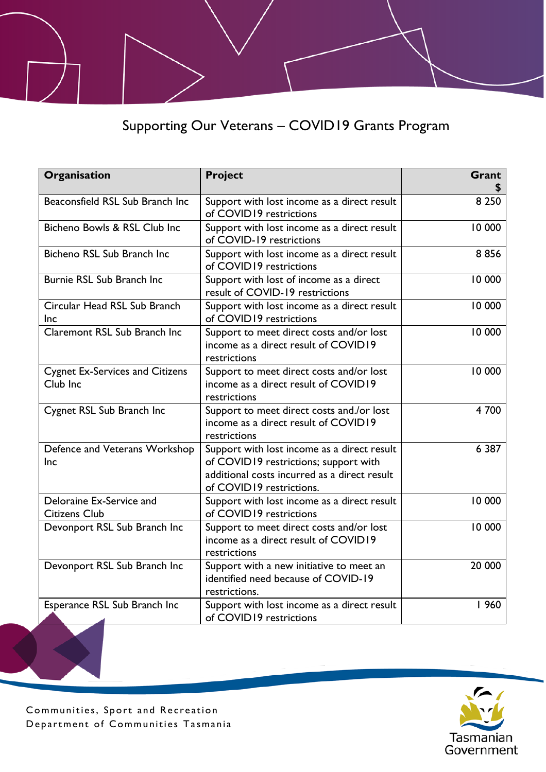Supporting Our Veterans – COVID19 Grants Program

| Organisation                                       | <b>Project</b>                                                                                                                                                   | Grant   |
|----------------------------------------------------|------------------------------------------------------------------------------------------------------------------------------------------------------------------|---------|
| Beaconsfield RSL Sub Branch Inc                    | Support with lost income as a direct result<br>of COVID19 restrictions                                                                                           | 8 2 5 0 |
| Bicheno Bowls & RSL Club Inc                       | Support with lost income as a direct result<br>of COVID-19 restrictions                                                                                          | 10 000  |
| Bicheno RSL Sub Branch Inc                         | Support with lost income as a direct result<br>of COVID19 restrictions                                                                                           | 8856    |
| Burnie RSL Sub Branch Inc                          | Support with lost of income as a direct<br>result of COVID-19 restrictions                                                                                       | 10 000  |
| Circular Head RSL Sub Branch<br><b>Inc</b>         | Support with lost income as a direct result<br>of COVID19 restrictions                                                                                           | 10 000  |
| Claremont RSL Sub Branch Inc                       | Support to meet direct costs and/or lost<br>income as a direct result of COVID19<br>restrictions                                                                 | 10 000  |
| <b>Cygnet Ex-Services and Citizens</b><br>Club Inc | Support to meet direct costs and/or lost<br>income as a direct result of COVID19<br>restrictions                                                                 | 10 000  |
| Cygnet RSL Sub Branch Inc                          | Support to meet direct costs and./or lost<br>income as a direct result of COVID19<br>restrictions                                                                | 4 700   |
| Defence and Veterans Workshop<br>Inc               | Support with lost income as a direct result<br>of COVID19 restrictions; support with<br>additional costs incurred as a direct result<br>of COVID19 restrictions. | 6 3 8 7 |
| Deloraine Ex-Service and<br><b>Citizens Club</b>   | Support with lost income as a direct result<br>of COVID19 restrictions                                                                                           | 10 000  |
| Devonport RSL Sub Branch Inc                       | Support to meet direct costs and/or lost<br>income as a direct result of COVID19<br>restrictions                                                                 | 10 000  |
| Devonport RSL Sub Branch Inc                       | Support with a new initiative to meet an<br>identified need because of COVID-19<br>restrictions.                                                                 | 20 000  |
| Esperance RSL Sub Branch Inc<br>◢                  | Support with lost income as a direct result<br>of COVID19 restrictions                                                                                           | 960     |

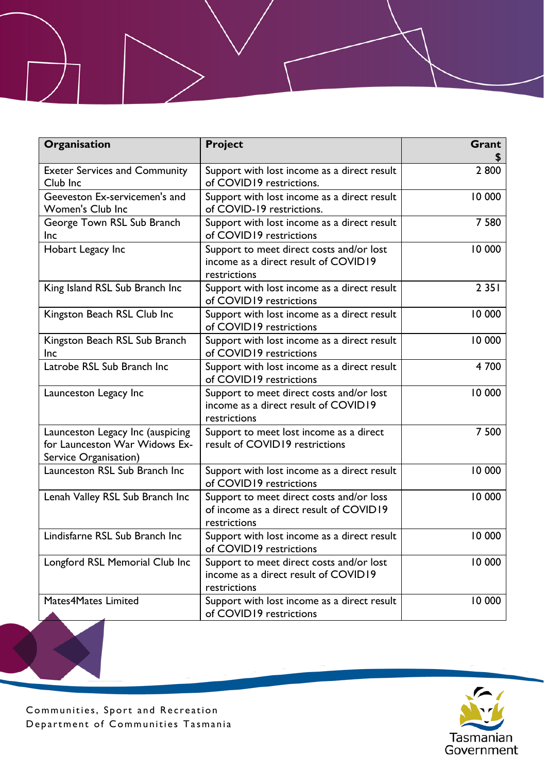| Organisation                                                                               | Project                                                                                             | Grant   |
|--------------------------------------------------------------------------------------------|-----------------------------------------------------------------------------------------------------|---------|
| <b>Exeter Services and Community</b><br>Club Inc                                           | Support with lost income as a direct result<br>of COVID19 restrictions.                             | 2800    |
| Geeveston Ex-servicemen's and<br><b>Women's Club Inc</b>                                   | Support with lost income as a direct result<br>of COVID-19 restrictions.                            | 10 000  |
| George Town RSL Sub Branch<br>Inc                                                          | Support with lost income as a direct result<br>of COVID19 restrictions                              | 7 5 8 0 |
| Hobart Legacy Inc                                                                          | Support to meet direct costs and/or lost<br>income as a direct result of COVID19<br>restrictions    | 10 000  |
| King Island RSL Sub Branch Inc                                                             | Support with lost income as a direct result<br>of COVID19 restrictions                              | 2 3 5 1 |
| Kingston Beach RSL Club Inc                                                                | Support with lost income as a direct result<br>of COVID19 restrictions                              | 10 000  |
| Kingston Beach RSL Sub Branch<br><b>Inc</b>                                                | Support with lost income as a direct result<br>of COVID19 restrictions                              | 10 000  |
| Latrobe RSL Sub Branch Inc                                                                 | Support with lost income as a direct result<br>of COVID19 restrictions                              | 4 700   |
| Launceston Legacy Inc                                                                      | Support to meet direct costs and/or lost<br>income as a direct result of COVID19<br>restrictions    | 10 000  |
| Launceston Legacy Inc (auspicing<br>for Launceston War Widows Ex-<br>Service Organisation) | Support to meet lost income as a direct<br>result of COVID19 restrictions                           | 7 500   |
| Launceston RSL Sub Branch Inc                                                              | Support with lost income as a direct result<br>of COVID19 restrictions                              | 10 000  |
| Lenah Valley RSL Sub Branch Inc                                                            | Support to meet direct costs and/or loss<br>of income as a direct result of COVID19<br>restrictions | 10 000  |
| Lindisfarne RSL Sub Branch Inc                                                             | Support with lost income as a direct result<br>of COVID19 restrictions                              | 10 000  |
| Longford RSL Memorial Club Inc                                                             | Support to meet direct costs and/or lost<br>income as a direct result of COVID19<br>restrictions    | 10 000  |
| Mates4Mates Limited                                                                        | Support with lost income as a direct result<br>of COVID19 restrictions                              | 10 000  |

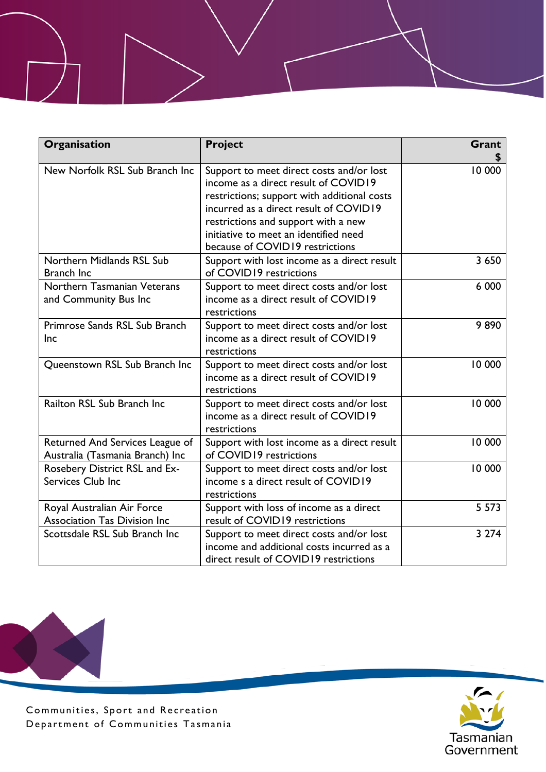| Organisation                                                       | Project                                                                                                                                                                                                                                                                                      | Grant   |
|--------------------------------------------------------------------|----------------------------------------------------------------------------------------------------------------------------------------------------------------------------------------------------------------------------------------------------------------------------------------------|---------|
| New Norfolk RSL Sub Branch Inc                                     | Support to meet direct costs and/or lost<br>income as a direct result of COVID19<br>restrictions; support with additional costs<br>incurred as a direct result of COVID19<br>restrictions and support with a new<br>initiative to meet an identified need<br>because of COVID19 restrictions | 10 000  |
| Northern Midlands RSL Sub<br><b>Branch Inc.</b>                    | Support with lost income as a direct result<br>of COVID19 restrictions                                                                                                                                                                                                                       | 3 6 5 0 |
| Northern Tasmanian Veterans<br>and Community Bus Inc               | Support to meet direct costs and/or lost<br>income as a direct result of COVID19<br>restrictions                                                                                                                                                                                             | 6 000   |
| Primrose Sands RSL Sub Branch<br><b>Inc</b>                        | Support to meet direct costs and/or lost<br>income as a direct result of COVID19<br>restrictions                                                                                                                                                                                             | 9890    |
| Queenstown RSL Sub Branch Inc                                      | Support to meet direct costs and/or lost<br>income as a direct result of COVID19<br>restrictions                                                                                                                                                                                             | 10 000  |
| Railton RSL Sub Branch Inc                                         | Support to meet direct costs and/or lost<br>income as a direct result of COVID19<br>restrictions                                                                                                                                                                                             | 10 000  |
| Returned And Services League of<br>Australia (Tasmania Branch) Inc | Support with lost income as a direct result<br>of COVID19 restrictions                                                                                                                                                                                                                       | 10 000  |
| Rosebery District RSL and Ex-<br>Services Club Inc                 | Support to meet direct costs and/or lost<br>income s a direct result of COVID19<br>restrictions                                                                                                                                                                                              | 10 000  |
| Royal Australian Air Force<br><b>Association Tas Division Inc</b>  | Support with loss of income as a direct<br>result of COVID19 restrictions                                                                                                                                                                                                                    | 5 5 7 3 |
| Scottsdale RSL Sub Branch Inc                                      | Support to meet direct costs and/or lost<br>income and additional costs incurred as a<br>direct result of COVID19 restrictions                                                                                                                                                               | 3 2 7 4 |



Communities, Sport and Recreation Department of Communities Tasmania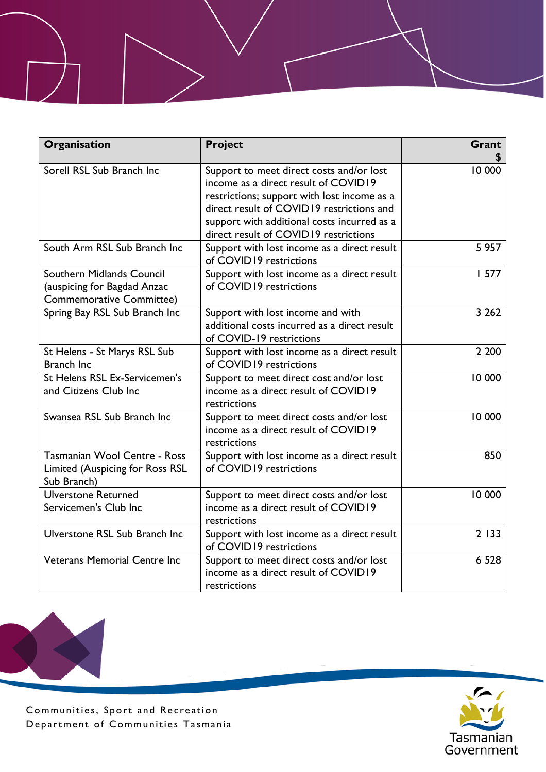| Organisation                                                                                | <b>Project</b>                                                                                                                                                                                                                                                       | Grant   |
|---------------------------------------------------------------------------------------------|----------------------------------------------------------------------------------------------------------------------------------------------------------------------------------------------------------------------------------------------------------------------|---------|
| Sorell RSL Sub Branch Inc                                                                   | Support to meet direct costs and/or lost<br>income as a direct result of COVID19<br>restrictions; support with lost income as a<br>direct result of COVID19 restrictions and<br>support with additional costs incurred as a<br>direct result of COVID19 restrictions | 10 000  |
| South Arm RSL Sub Branch Inc.                                                               | Support with lost income as a direct result<br>of COVID19 restrictions                                                                                                                                                                                               | 5 9 5 7 |
| Southern Midlands Council<br>(auspicing for Bagdad Anzac<br><b>Commemorative Committee)</b> | Support with lost income as a direct result<br>of COVID19 restrictions                                                                                                                                                                                               | 1577    |
| Spring Bay RSL Sub Branch Inc                                                               | Support with lost income and with<br>additional costs incurred as a direct result<br>of COVID-19 restrictions                                                                                                                                                        | 3 2 6 2 |
| St Helens - St Marys RSL Sub<br>Branch Inc                                                  | Support with lost income as a direct result<br>of COVID19 restrictions                                                                                                                                                                                               | 2 2 0 0 |
| St Helens RSL Ex-Servicemen's<br>and Citizens Club Inc                                      | Support to meet direct cost and/or lost<br>income as a direct result of COVID19<br>restrictions                                                                                                                                                                      | 10 000  |
| Swansea RSL Sub Branch Inc                                                                  | Support to meet direct costs and/or lost<br>income as a direct result of COVID19<br>restrictions                                                                                                                                                                     | 10 000  |
| Tasmanian Wool Centre - Ross<br>Limited (Auspicing for Ross RSL<br>Sub Branch)              | Support with lost income as a direct result<br>of COVID19 restrictions                                                                                                                                                                                               | 850     |
| <b>Ulverstone Returned</b><br>Servicemen's Club Inc                                         | Support to meet direct costs and/or lost<br>income as a direct result of COVID19<br>restrictions                                                                                                                                                                     | 10 000  |
| Ulverstone RSL Sub Branch Inc                                                               | Support with lost income as a direct result<br>of COVID19 restrictions                                                                                                                                                                                               | 2 1 3 3 |
| <b>Veterans Memorial Centre Inc</b>                                                         | Support to meet direct costs and/or lost<br>income as a direct result of COVID19<br>restrictions                                                                                                                                                                     | 6 5 2 8 |